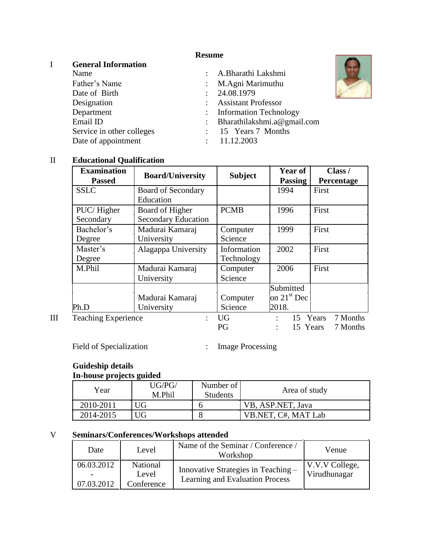# **Resume**

# I **General Information**

| Name                      | : A.Bharathi Lakshmi          |
|---------------------------|-------------------------------|
| Father's Name             | : M.Agni Marimuthu            |
| Date of Birth             | : 24.08.1979                  |
| Designation               | : Assistant Professor         |
| Department                | : Information Technology      |
| Email ID                  | : Bharathilakshmi.a@gmail.com |
| Service in other colleges | : 15 Years 7 Months           |
| Date of appointment       | : 11.12.2003                  |

## II **Educational Qualification**

| <b>Examination</b><br><b>Passed</b> | <b>Board/University</b>                       | <b>Subject</b>            | Year of<br><b>Passing</b>  | Class /<br>Percentage |
|-------------------------------------|-----------------------------------------------|---------------------------|----------------------------|-----------------------|
| <b>SSLC</b>                         | <b>Board of Secondary</b><br>Education        |                           | 1994                       | First                 |
| PUC/Higher<br>Secondary             | Board of Higher<br><b>Secondary Education</b> | <b>PCMB</b>               | 1996                       | First                 |
| Bachelor's<br>Degree                | Madurai Kamaraj<br>University                 | Computer<br>Science       | 1999                       | First                 |
| Master's<br>Degree                  | Alagappa University                           | Information<br>Technology | 2002                       | First                 |
| M.Phil                              | Madurai Kamaraj<br>University                 | Computer<br>Science       | 2006                       | First                 |
|                                     | Madurai Kamaraj                               | Computer                  | Submitted<br>on $21st$ Dec |                       |
| Ph.D                                | University                                    | Science                   | 2018.                      |                       |
| <b>Teaching Experience</b>          |                                               | <b>UG</b><br>PG           | 15 Years<br>15 Years       | 7 Months<br>7 Months  |

Field of Specialization : Image Processing

# **Guideship details**

| In-house projects guided |                  |                              |                     |
|--------------------------|------------------|------------------------------|---------------------|
| Year                     | UG/PG/<br>M.Phil | Number of<br><b>Students</b> | Area of study       |
| 2010-2011                | UG               |                              | VB, ASP.NET, Java   |
| 2014-2015                | UG               |                              | VB.NET, C#, MAT Lab |

# V **Seminars/Conferences/Workshops attended**

| Date                     | Level                                  | Name of the Seminar / Conference /<br>Workshop                         | Venue                          |
|--------------------------|----------------------------------------|------------------------------------------------------------------------|--------------------------------|
| 06.03.2012<br>07.03.2012 | <b>National</b><br>Level<br>Conference | Innovative Strategies in Teaching -<br>Learning and Evaluation Process | V.V.V College,<br>Virudhunagar |